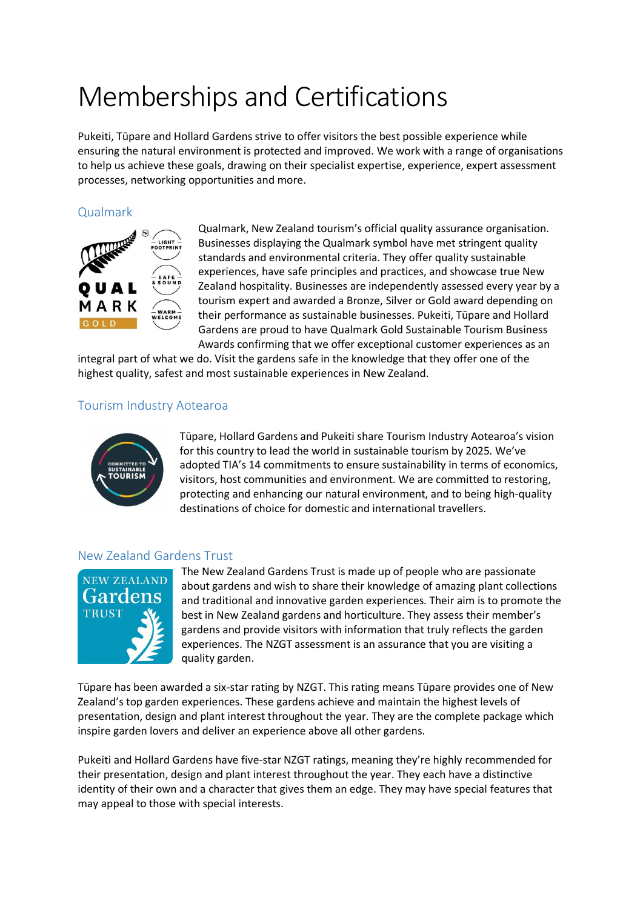# Memberships and Certifications

Pukeiti, Tūpare and Hollard Gardens strive to offer visitors the best possible experience while ensuring the natural environment is protected and improved. We work with a range of organisations to help us achieve these goals, drawing on their specialist expertise, experience, expert assessment processes, networking opportunities and more.

# Qualmark



Qualmark, New Zealand tourism's official quality assurance organisation. Businesses displaying the Qualmark symbol have met stringent quality standards and environmental criteria. They offer quality sustainable experiences, have safe principles and practices, and showcase true New Zealand hospitality. Businesses are independently assessed every year by a tourism expert and awarded a Bronze, Silver or Gold award depending on their performance as sustainable businesses. Pukeiti, Tūpare and Hollard Gardens are proud to have Qualmark Gold Sustainable Tourism Business Awards confirming that we offer exceptional customer experiences as an

integral part of what we do. Visit the gardens safe in the knowledge that they offer one of the highest quality, safest and most sustainable experiences in New Zealand.

# Tourism Industry Aotearoa



Tūpare, Hollard Gardens and Pukeiti share Tourism Industry Aotearoa's vision for this country to lead the world in sustainable tourism by 2025. We've adopted TIA's 14 commitments to ensure sustainability in terms of economics, visitors, host communities and environment. We are committed to restoring, protecting and enhancing our natural environment, and to being high-quality destinations of choice for domestic and international travellers.

#### New Zealand Gardens Trust



The New Zealand Gardens Trust is made up of people who are passionate about gardens and wish to share their knowledge of amazing plant collections and traditional and innovative garden experiences. Their aim is to promote the best in New Zealand gardens and horticulture. They assess their member's gardens and provide visitors with information that truly reflects the garden experiences. The NZGT assessment is an assurance that you are visiting a quality garden.

Tūpare has been awarded a six-star rating by NZGT. This rating means Tūpare provides one of New Zealand's top garden experiences. These gardens achieve and maintain the highest levels of presentation, design and plant interest throughout the year. They are the complete package which inspire garden lovers and deliver an experience above all other gardens.

Pukeiti and Hollard Gardens have five-star NZGT ratings, meaning they're highly recommended for their presentation, design and plant interest throughout the year. They each have a distinctive identity of their own and a character that gives them an edge. They may have special features that may appeal to those with special interests.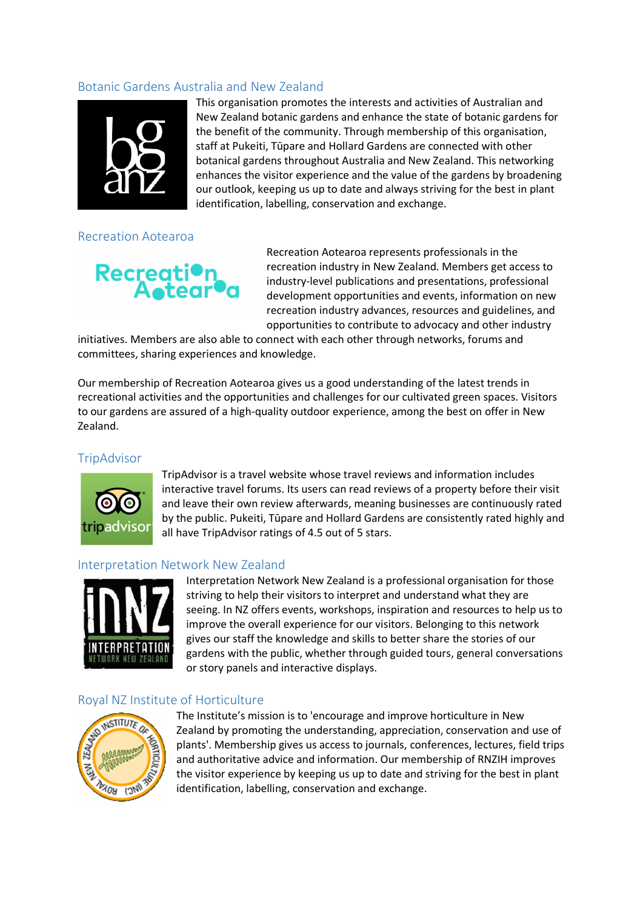# Botanic Gardens Australia and New Zealand



This organisation promotes the interests and activities of Australian and New Zealand botanic gardens and enhance the state of botanic gardens for the benefit of the community. Through membership of this organisation, staff at Pukeiti, Tūpare and Hollard Gardens are connected with other botanical gardens throughout Australia and New Zealand. This networking enhances the visitor experience and the value of the gardens by broadening our outlook, keeping us up to date and always striving for the best in plant identification, labelling, conservation and exchange.

Recreation Aotearoa

# Recreation<br>Aotear

Recreation Aotearoa represents professionals in the recreation industry in New Zealand. Members get access to industry-level publications and presentations, professional development opportunities and events, information on new recreation industry advances, resources and guidelines, and opportunities to contribute to advocacy and other industry

initiatives. Members are also able to connect with each other through networks, forums and committees, sharing experiences and knowledge.

Our membership of Recreation Aotearoa gives us a good understanding of the latest trends in recreational activities and the opportunities and challenges for our cultivated green spaces. Visitors to our gardens are assured of a high-quality outdoor experience, among the best on offer in New Zealand.

#### **TripAdvisor**



TripAdvisor is a travel website whose travel reviews and information includes interactive travel forums. Its users can read reviews of a property before their visit and leave their own review afterwards, meaning businesses are continuously rated by the public. Pukeiti, Tūpare and Hollard Gardens are consistently rated highly and all have TripAdvisor ratings of 4.5 out of 5 stars.

#### Interpretation Network New Zealand



Interpretation Network New Zealand is a professional organisation for those striving to help their visitors to interpret and understand what they are seeing. In NZ offers events, workshops, inspiration and resources to help us to improve the overall experience for our visitors. Belonging to this network gives our staff the knowledge and skills to better share the stories of our gardens with the public, whether through guided tours, general conversations or story panels and interactive displays.

#### Royal NZ Institute of Horticulture



The Institute's mission is to 'encourage and improve horticulture in New Zealand by promoting the understanding, appreciation, conservation and use of plants'. Membership gives us access to journals, conferences, lectures, field trips and authoritative advice and information. Our membership of RNZIH improves the visitor experience by keeping us up to date and striving for the best in plant identification, labelling, conservation and exchange.